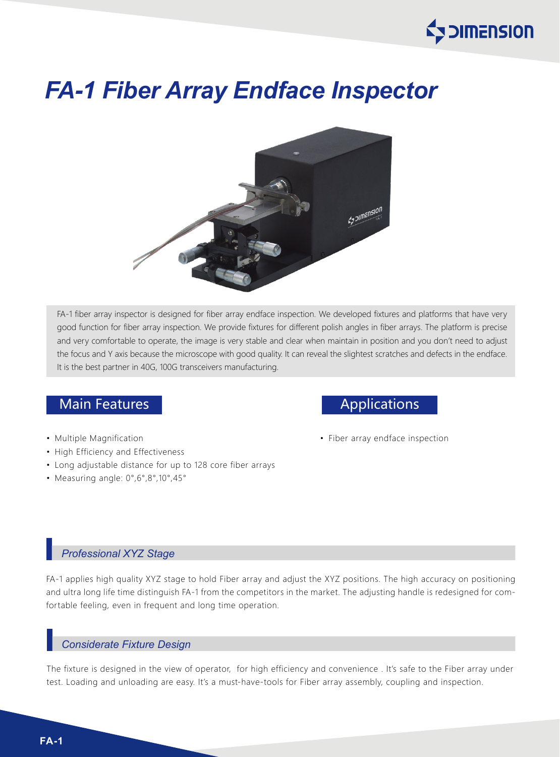

# *FA-1 Fiber Array Endface Inspector*



FA-1 fiber array inspector is designed for fiber array endface inspection. We developed fixtures and platforms that have very good function for fiber array inspection. We provide fixtures for different polish angles in fiber arrays. The platform is precise and very comfortable to operate, the image is very stable and clear when maintain in position and you don't need to adjust the focus and Y axis because the microscope with good quality. It can reveal the slightest scratches and defects in the endface. It is the best partner in 40G, 100G transceivers manufacturing.

## Main Features **Applications**

- Multiple Magnification
- High Efficiency and Effectiveness
- Long adjustable distance for up to 128 core fiber arrays
- Measuring angle: 0°,6°,8°,10°,45°

• Fiber array endface inspection

#### *Professional XYZ Stage*

FA-1 applies high quality XYZ stage to hold Fiber array and adjust the XYZ positions. The high accuracy on positioning and ultra long life time distinguish FA-1 from the competitors in the market. The adjusting handle is redesigned for comfortable feeling, even in frequent and long time operation.

#### *Considerate Fixture Design*

The fixture is designed in the view of operator, for high efficiency and convenience . It's safe to the Fiber array under test. Loading and unloading are easy. It's a must-have-tools for Fiber array assembly, coupling and inspection.